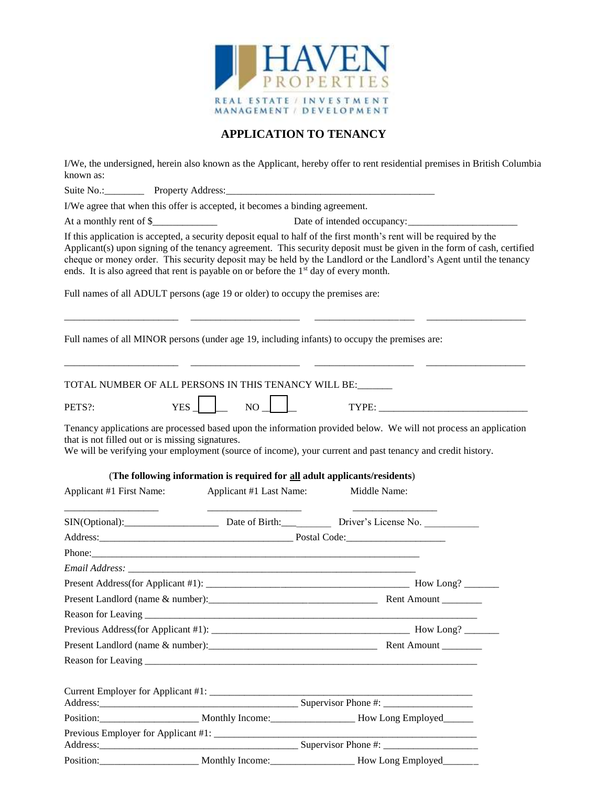

## **APPLICATION TO TENANCY**

I/We, the undersigned, herein also known as the Applicant, hereby offer to rent residential premises in British Columbia known as:

Suite No.:\_\_\_\_\_\_\_\_ Property Address:\_\_\_\_\_\_\_\_\_\_\_\_\_\_\_\_\_\_\_\_\_\_\_\_\_\_\_\_\_\_\_\_\_\_\_\_\_\_\_\_\_\_

I/We agree that when this offer is accepted, it becomes a binding agreement.

At a monthly rent of \$\_\_\_\_\_\_\_\_\_\_\_\_\_ Date of intended occupancy:\_\_\_\_\_\_\_\_\_\_\_\_\_\_\_\_\_\_\_\_\_\_

If this application is accepted, a security deposit equal to half of the first month's rent will be required by the Applicant(s) upon signing of the tenancy agreement. This security deposit must be given in the form of cash, certified cheque or money order. This security deposit may be held by the Landlord or the Landlord's Agent until the tenancy ends. It is also agreed that rent is payable on or before the  $1<sup>st</sup>$  day of every month.

\_\_\_\_\_\_\_\_\_\_\_\_\_\_\_\_\_\_\_\_\_\_\_ \_\_\_\_\_\_\_\_\_\_\_\_\_\_\_\_\_\_\_\_\_\_ \_\_\_\_\_\_\_\_\_\_\_\_\_\_\_\_\_\_\_\_ \_\_\_\_\_\_\_\_\_\_\_\_\_\_\_\_\_\_\_\_

Full names of all ADULT persons (age 19 or older) to occupy the premises are:

Full names of all MINOR persons (under age 19, including infants) to occupy the premises are:

|                                                  | TOTAL NUMBER OF ALL PERSONS IN THIS TENANCY WILL BE: ______                |                                                                                                                                                                                                                                |
|--------------------------------------------------|----------------------------------------------------------------------------|--------------------------------------------------------------------------------------------------------------------------------------------------------------------------------------------------------------------------------|
| PETS?:                                           | $NO \perp$<br>$YES$                                                        |                                                                                                                                                                                                                                |
| that is not filled out or is missing signatures. |                                                                            | Tenancy applications are processed based upon the information provided below. We will not process an application<br>We will be verifying your employment (source of income), your current and past tenancy and credit history. |
|                                                  | (The following information is required for all adult applicants/residents) |                                                                                                                                                                                                                                |
| Applicant #1 First Name:                         | Applicant #1 Last Name:                                                    | Middle Name:                                                                                                                                                                                                                   |
|                                                  |                                                                            | SIN(Optional): Date of Birth: Driver's License No.                                                                                                                                                                             |
|                                                  |                                                                            |                                                                                                                                                                                                                                |
|                                                  |                                                                            |                                                                                                                                                                                                                                |
|                                                  |                                                                            |                                                                                                                                                                                                                                |
|                                                  |                                                                            |                                                                                                                                                                                                                                |
|                                                  |                                                                            |                                                                                                                                                                                                                                |
|                                                  |                                                                            | Reason for Leaving example and the contract of the contract of the contract of the contract of the contract of                                                                                                                 |
|                                                  |                                                                            |                                                                                                                                                                                                                                |
|                                                  |                                                                            |                                                                                                                                                                                                                                |
|                                                  |                                                                            |                                                                                                                                                                                                                                |
|                                                  |                                                                            |                                                                                                                                                                                                                                |
|                                                  |                                                                            |                                                                                                                                                                                                                                |
|                                                  |                                                                            | Position: Monthly Income: Monthly Income: Now Long Employed                                                                                                                                                                    |
|                                                  |                                                                            | <u> 1989 - Jan Samuel Barbara, menyebara tan</u>                                                                                                                                                                               |
|                                                  |                                                                            |                                                                                                                                                                                                                                |

Position:\_\_\_\_\_\_\_\_\_\_\_\_\_\_\_\_\_\_\_\_ Monthly Income:\_\_\_\_\_\_\_\_\_\_\_\_\_\_\_\_\_ How Long Employed\_\_\_\_\_\_\_